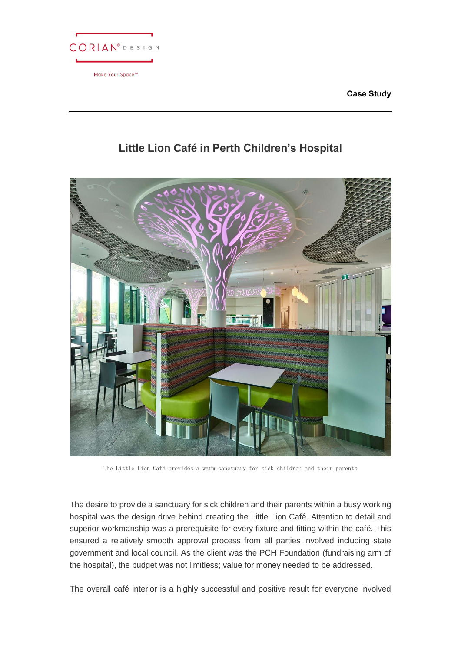| <b>CORIAN</b> <sup>®</sup> DESIGN |  |  |  |
|-----------------------------------|--|--|--|
| Make Your Space™                  |  |  |  |

**Case Study**

# **Little Lion Café in Perth Children's Hospital**



The Little Lion Café provides a warm sanctuary for sick children and their parents

The desire to provide a sanctuary for sick children and their parents within a busy working hospital was the design drive behind creating the Little Lion Café. Attention to detail and superior workmanship was a prerequisite for every fixture and fitting within the café. This ensured a relatively smooth approval process from all parties involved including state government and local council. As the client was the PCH Foundation (fundraising arm of the hospital), the budget was not limitless; value for money needed to be addressed.

The overall café interior is a highly successful and positive result for everyone involved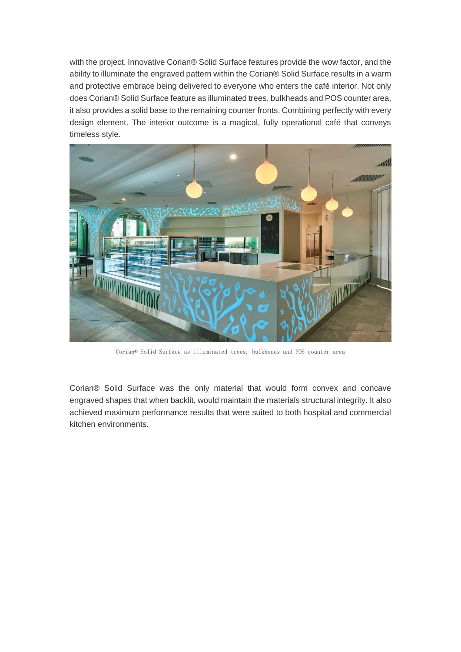with the project. Innovative Corian® Solid Surface features provide the wow factor, and the ability to illuminate the engraved pattern within the Corian® Solid Surface results in a warm and protective embrace being delivered to everyone who enters the café interior. Not only does Corian® Solid Surface feature as illuminated trees, bulkheads and POS counter area, it also provides a solid base to the remaining counter fronts. Combining perfectly with every design element. The interior outcome is a magical, fully operational café that conveys timeless style.



Corian® Solid Surface as illuminated trees, bulkheads and POS counter area

Corian® Solid Surface was the only material that would form convex and concave engraved shapes that when backlit, would maintain the materials structural integrity. It also achieved maximum performance results that were suited to both hospital and commercial kitchen environments.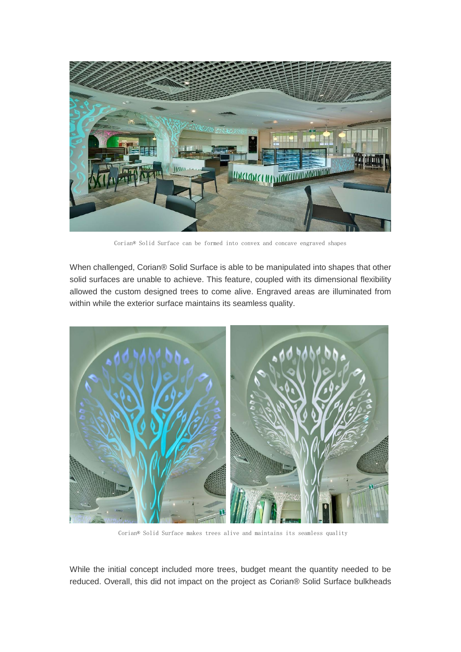

Corian® Solid Surface can be formed into convex and concave engraved shapes

When challenged, Corian® Solid Surface is able to be manipulated into shapes that other solid surfaces are unable to achieve. This feature, coupled with its dimensional flexibility allowed the custom designed trees to come alive. Engraved areas are illuminated from within while the exterior surface maintains its seamless quality.



Corian® Solid Surface makes trees alive and maintains its seamless quality

While the initial concept included more trees, budget meant the quantity needed to be reduced. Overall, this did not impact on the project as Corian® Solid Surface bulkheads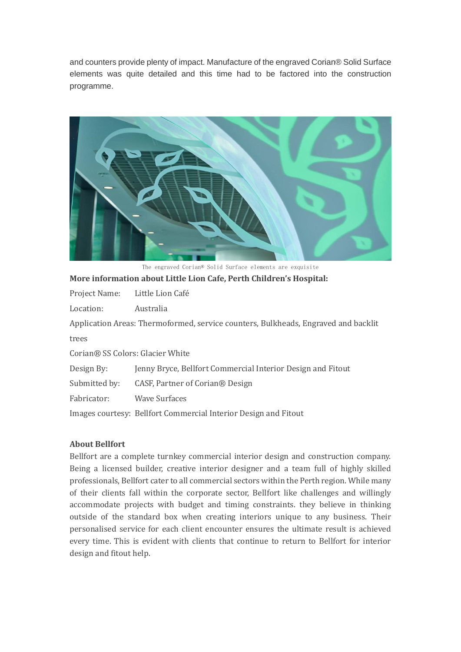and counters provide plenty of impact. Manufacture of the engraved Corian® Solid Surface elements was quite detailed and this time had to be factored into the construction programme.



The engraved Corian® Solid Surface elements are exquisite

## **More information about Little Lion Cafe, Perth Children's Hospital:**

Project Name: Little Lion Café

Location: Australia

Application Areas: Thermoformed, service counters, Bulkheads, Engraved and backlit trees

Corian® SS Colors: Glacier White

Design By: Jenny Bryce, Bellfort Commercial Interior Design and Fitout

Submitted by: CASF, Partner of Corian® Design

Fabricator: Wave Surfaces

Images courtesy: Bellfort Commercial Interior Design and Fitout

### **About Bellfort**

Bellfort are a complete turnkey commercial interior design and construction company. Being a licensed builder, creative interior designer and a team full of highly skilled professionals, Bellfort cater to all commercial sectors within the Perth region. While many of their clients fall within the corporate sector, Bellfort like challenges and willingly accommodate projects with budget and timing constraints. they believe in thinking outside of the standard box when creating interiors unique to any business. Their personalised service for each client encounter ensures the ultimate result is achieved every time. This is evident with clients that continue to return to Bellfort for interior design and fitout help.